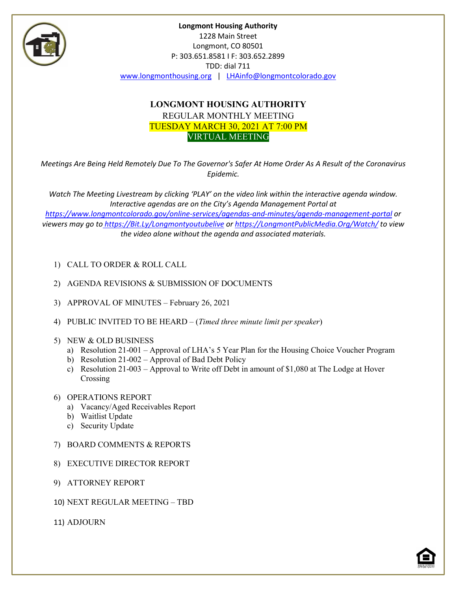

## **LONGMONT HOUSING AUTHORITY** REGULAR MONTHLY MEETING TUESDAY MARCH 30, 2021 AT 7:00 PM VIRTUAL MEETING

*Meetings Are Being Held Remotely Due To The Governor's Safer At Home Order As A Result of the Coronavirus Epidemic.*

*Watch The Meeting Livestream by clicking 'PLAY' on the video link within the interactive agenda window. Interactive agendas are on the City's Agenda Management Portal at <https://www.longmontcolorado.gov/online-services/agendas-and-minutes/agenda-management-portal> or viewers may go to [https://Bit.Ly/Longmontyoutubelive](https://bit.ly/Longmontyoutubelive) or [https://LongmontPublicMedia.Org/Watch/](https://longmontpublicmedia.org/Watch/) to view the video alone without the agenda and associated materials.*

- 1) CALL TO ORDER & ROLL CALL
- 2) AGENDA REVISIONS & SUBMISSION OF DOCUMENTS
- 3) APPROVAL OF MINUTES February 26, 2021
- 4) PUBLIC INVITED TO BE HEARD (*Timed three minute limit per speaker*)
- 5) NEW & OLD BUSINESS
	- a) Resolution 21-001 Approval of LHA's 5 Year Plan for the Housing Choice Voucher Program
	- b) Resolution 21-002 Approval of Bad Debt Policy
	- c) Resolution 21-003 Approval to Write off Debt in amount of \$1,080 at The Lodge at Hover Crossing
- 6) OPERATIONS REPORT
	- a) Vacancy/Aged Receivables Report
	- b) Waitlist Update
	- c) Security Update
- 7) BOARD COMMENTS & REPORTS
- 8) EXECUTIVE DIRECTOR REPORT
- 9) ATTORNEY REPORT
- 10) NEXT REGULAR MEETING TBD

11) ADJOURN

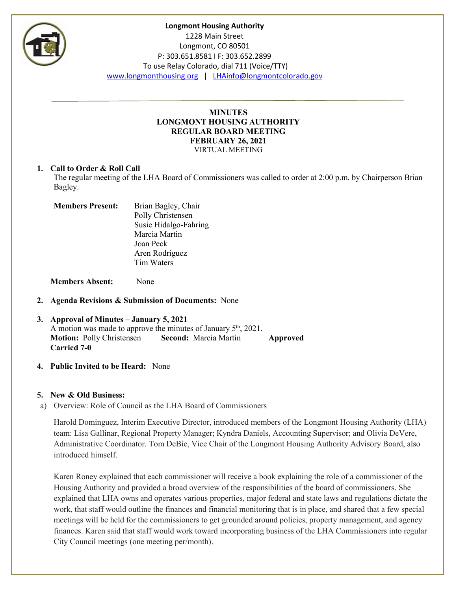

#### **MINUTES LONGMONT HOUSING AUTHORITY REGULAR BOARD MEETING FEBRUARY 26, 2021** VIRTUAL MEETING

#### **1. Call to Order & Roll Call**

The regular meeting of the LHA Board of Commissioners was called to order at 2:00 p.m. by Chairperson Brian Bagley.

| <b>Members Present:</b> | Brian Bagley, Chair   |
|-------------------------|-----------------------|
|                         | Polly Christensen     |
|                         | Susie Hidalgo-Fahring |
|                         | Marcia Martin         |
|                         | Joan Peck             |
|                         | Aren Rodriguez        |
|                         | Tim Waters            |
|                         |                       |

**Members Absent:** None

**2. Agenda Revisions & Submission of Documents:** None

## **3. Approval of Minutes – January 5, 2021** A motion was made to approve the minutes of January  $5<sup>th</sup>$ , 2021. **Motion:** Polly Christensen **Second:** Marcia Martin **Approved Carried 7-0**

**4. Public Invited to be Heard:** None

## **5. New & Old Business:**

a) Overview: Role of Council as the LHA Board of Commissioners

Harold Dominguez, Interim Executive Director, introduced members of the Longmont Housing Authority (LHA) team: Lisa Gallinar, Regional Property Manager; Kyndra Daniels, Accounting Supervisor; and Olivia DeVere, Administrative Coordinator. Tom DeBie, Vice Chair of the Longmont Housing Authority Advisory Board, also introduced himself.

Karen Roney explained that each commissioner will receive a book explaining the role of a commissioner of the Housing Authority and provided a broad overview of the responsibilities of the board of commissioners. She explained that LHA owns and operates various properties, major federal and state laws and regulations dictate the work, that staff would outline the finances and financial monitoring that is in place, and shared that a few special meetings will be held for the commissioners to get grounded around policies, property management, and agency finances. Karen said that staff would work toward incorporating business of the LHA Commissioners into regular City Council meetings (one meeting per/month).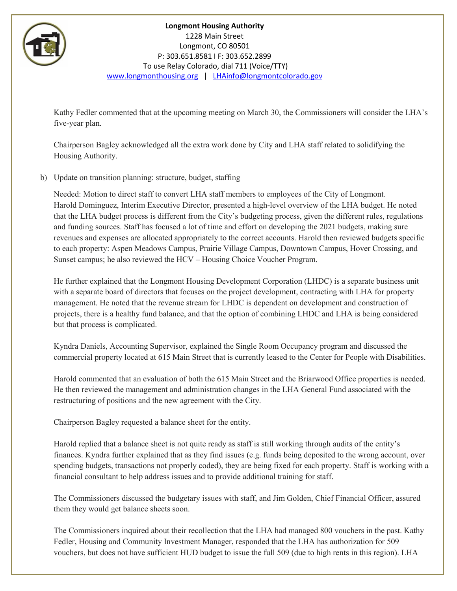

Kathy Fedler commented that at the upcoming meeting on March 30, the Commissioners will consider the LHA's five-year plan.

Chairperson Bagley acknowledged all the extra work done by City and LHA staff related to solidifying the Housing Authority.

b) Update on transition planning: structure, budget, staffing

Needed: Motion to direct staff to convert LHA staff members to employees of the City of Longmont. Harold Dominguez, Interim Executive Director, presented a high-level overview of the LHA budget. He noted that the LHA budget process is different from the City's budgeting process, given the different rules, regulations and funding sources. Staff has focused a lot of time and effort on developing the 2021 budgets, making sure revenues and expenses are allocated appropriately to the correct accounts. Harold then reviewed budgets specific to each property: Aspen Meadows Campus, Prairie Village Campus, Downtown Campus, Hover Crossing, and Sunset campus; he also reviewed the HCV – Housing Choice Voucher Program.

He further explained that the Longmont Housing Development Corporation (LHDC) is a separate business unit with a separate board of directors that focuses on the project development, contracting with LHA for property management. He noted that the revenue stream for LHDC is dependent on development and construction of projects, there is a healthy fund balance, and that the option of combining LHDC and LHA is being considered but that process is complicated.

Kyndra Daniels, Accounting Supervisor, explained the Single Room Occupancy program and discussed the commercial property located at 615 Main Street that is currently leased to the Center for People with Disabilities.

Harold commented that an evaluation of both the 615 Main Street and the Briarwood Office properties is needed. He then reviewed the management and administration changes in the LHA General Fund associated with the restructuring of positions and the new agreement with the City.

Chairperson Bagley requested a balance sheet for the entity.

Harold replied that a balance sheet is not quite ready as staff is still working through audits of the entity's finances. Kyndra further explained that as they find issues (e.g. funds being deposited to the wrong account, over spending budgets, transactions not properly coded), they are being fixed for each property. Staff is working with a financial consultant to help address issues and to provide additional training for staff.

The Commissioners discussed the budgetary issues with staff, and Jim Golden, Chief Financial Officer, assured them they would get balance sheets soon.

The Commissioners inquired about their recollection that the LHA had managed 800 vouchers in the past. Kathy Fedler, Housing and Community Investment Manager, responded that the LHA has authorization for 509 vouchers, but does not have sufficient HUD budget to issue the full 509 (due to high rents in this region). LHA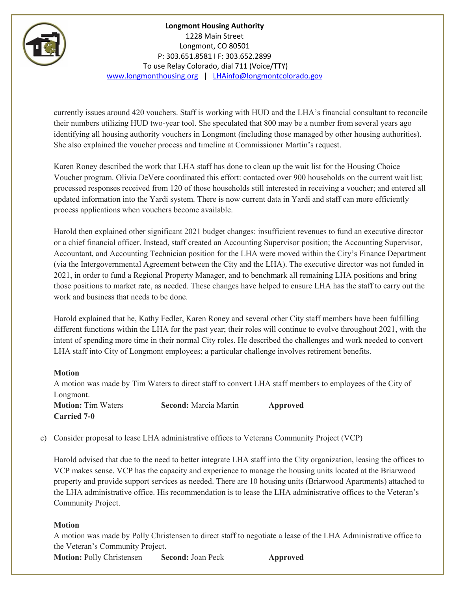

currently issues around 420 vouchers. Staff is working with HUD and the LHA's financial consultant to reconcile their numbers utilizing HUD two-year tool. She speculated that 800 may be a number from several years ago identifying all housing authority vouchers in Longmont (including those managed by other housing authorities). She also explained the voucher process and timeline at Commissioner Martin's request.

Karen Roney described the work that LHA staff has done to clean up the wait list for the Housing Choice Voucher program. Olivia DeVere coordinated this effort: contacted over 900 households on the current wait list; processed responses received from 120 of those households still interested in receiving a voucher; and entered all updated information into the Yardi system. There is now current data in Yardi and staff can more efficiently process applications when vouchers become available.

Harold then explained other significant 2021 budget changes: insufficient revenues to fund an executive director or a chief financial officer. Instead, staff created an Accounting Supervisor position; the Accounting Supervisor, Accountant, and Accounting Technician position for the LHA were moved within the City's Finance Department (via the Intergovernmental Agreement between the City and the LHA). The executive director was not funded in 2021, in order to fund a Regional Property Manager, and to benchmark all remaining LHA positions and bring those positions to market rate, as needed. These changes have helped to ensure LHA has the staff to carry out the work and business that needs to be done.

Harold explained that he, Kathy Fedler, Karen Roney and several other City staff members have been fulfilling different functions within the LHA for the past year; their roles will continue to evolve throughout 2021, with the intent of spending more time in their normal City roles. He described the challenges and work needed to convert LHA staff into City of Longmont employees; a particular challenge involves retirement benefits.

#### **Motion**

A motion was made by Tim Waters to direct staff to convert LHA staff members to employees of the City of Longmont.

**Motion:** Tim Waters **Second:** Marcia Martin **Approved Carried 7-0**

c) Consider proposal to lease LHA administrative offices to Veterans Community Project (VCP)

Harold advised that due to the need to better integrate LHA staff into the City organization, leasing the offices to VCP makes sense. VCP has the capacity and experience to manage the housing units located at the Briarwood property and provide support services as needed. There are 10 housing units (Briarwood Apartments) attached to the LHA administrative office. His recommendation is to lease the LHA administrative offices to the Veteran's Community Project.

## **Motion**

A motion was made by Polly Christensen to direct staff to negotiate a lease of the LHA Administrative office to the Veteran's Community Project.

**Motion: Polly Christensen <b>Second:** Joan Peck **Approved**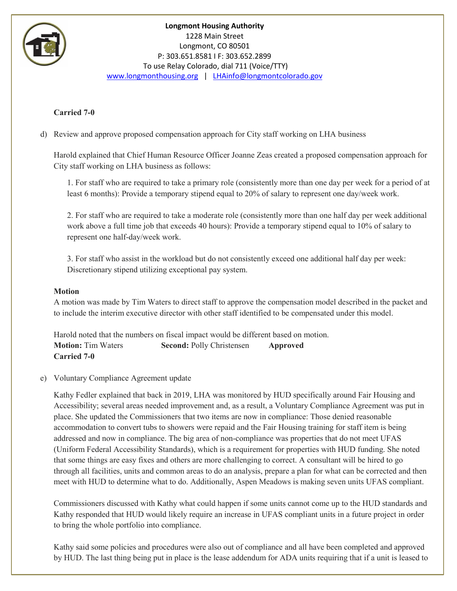

## **Carried 7-0**

d) Review and approve proposed compensation approach for City staff working on LHA business

Harold explained that Chief Human Resource Officer Joanne Zeas created a proposed compensation approach for City staff working on LHA business as follows:

1. For staff who are required to take a primary role (consistently more than one day per week for a period of at least 6 months): Provide a temporary stipend equal to 20% of salary to represent one day/week work.

2. For staff who are required to take a moderate role (consistently more than one half day per week additional work above a full time job that exceeds 40 hours): Provide a temporary stipend equal to 10% of salary to represent one half-day/week work.

3. For staff who assist in the workload but do not consistently exceed one additional half day per week: Discretionary stipend utilizing exceptional pay system.

#### **Motion**

A motion was made by Tim Waters to direct staff to approve the compensation model described in the packet and to include the interim executive director with other staff identified to be compensated under this model.

Harold noted that the numbers on fiscal impact would be different based on motion. **Motion:** Tim Waters **Second:** Polly Christensen **Approved Carried 7-0**

#### e) Voluntary Compliance Agreement update

Kathy Fedler explained that back in 2019, LHA was monitored by HUD specifically around Fair Housing and Accessibility; several areas needed improvement and, as a result, a Voluntary Compliance Agreement was put in place. She updated the Commissioners that two items are now in compliance: Those denied reasonable accommodation to convert tubs to showers were repaid and the Fair Housing training for staff item is being addressed and now in compliance. The big area of non-compliance was properties that do not meet UFAS (Uniform Federal Accessibility Standards), which is a requirement for properties with HUD funding. She noted that some things are easy fixes and others are more challenging to correct. A consultant will be hired to go through all facilities, units and common areas to do an analysis, prepare a plan for what can be corrected and then meet with HUD to determine what to do. Additionally, Aspen Meadows is making seven units UFAS compliant.

Commissioners discussed with Kathy what could happen if some units cannot come up to the HUD standards and Kathy responded that HUD would likely require an increase in UFAS compliant units in a future project in order to bring the whole portfolio into compliance.

Kathy said some policies and procedures were also out of compliance and all have been completed and approved by HUD. The last thing being put in place is the lease addendum for ADA units requiring that if a unit is leased to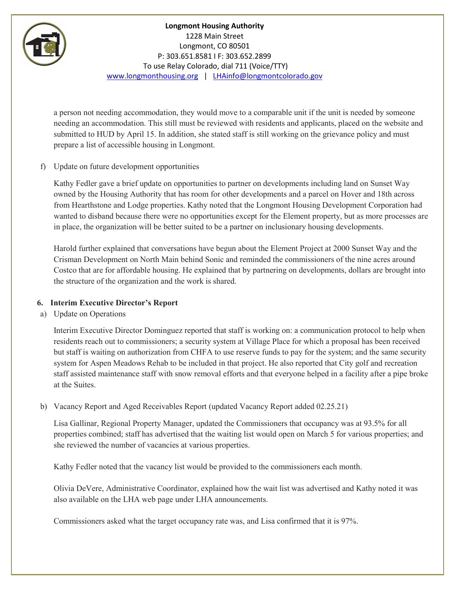

a person not needing accommodation, they would move to a comparable unit if the unit is needed by someone needing an accommodation. This still must be reviewed with residents and applicants, placed on the website and submitted to HUD by April 15. In addition, she stated staff is still working on the grievance policy and must prepare a list of accessible housing in Longmont.

## f) Update on future development opportunities

Kathy Fedler gave a brief update on opportunities to partner on developments including land on Sunset Way owned by the Housing Authority that has room for other developments and a parcel on Hover and 18th across from Hearthstone and Lodge properties. Kathy noted that the Longmont Housing Development Corporation had wanted to disband because there were no opportunities except for the Element property, but as more processes are in place, the organization will be better suited to be a partner on inclusionary housing developments.

Harold further explained that conversations have begun about the Element Project at 2000 Sunset Way and the Crisman Development on North Main behind Sonic and reminded the commissioners of the nine acres around Costco that are for affordable housing. He explained that by partnering on developments, dollars are brought into the structure of the organization and the work is shared.

#### **6. Interim Executive Director's Report**

a) Update on Operations

Interim Executive Director Dominguez reported that staff is working on: a communication protocol to help when residents reach out to commissioners; a security system at Village Place for which a proposal has been received but staff is waiting on authorization from CHFA to use reserve funds to pay for the system; and the same security system for Aspen Meadows Rehab to be included in that project. He also reported that City golf and recreation staff assisted maintenance staff with snow removal efforts and that everyone helped in a facility after a pipe broke at the Suites.

## b) Vacancy Report and Aged Receivables Report (updated Vacancy Report added 02.25.21)

Lisa Gallinar, Regional Property Manager, updated the Commissioners that occupancy was at 93.5% for all properties combined; staff has advertised that the waiting list would open on March 5 for various properties; and she reviewed the number of vacancies at various properties.

Kathy Fedler noted that the vacancy list would be provided to the commissioners each month.

Olivia DeVere, Administrative Coordinator, explained how the wait list was advertised and Kathy noted it was also available on the LHA web page under LHA announcements.

Commissioners asked what the target occupancy rate was, and Lisa confirmed that it is 97%.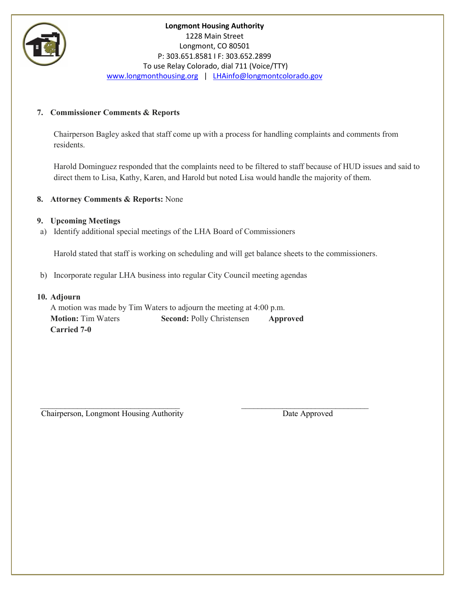

## **7. Commissioner Comments & Reports**

Chairperson Bagley asked that staff come up with a process for handling complaints and comments from residents.

Harold Dominguez responded that the complaints need to be filtered to staff because of HUD issues and said to direct them to Lisa, Kathy, Karen, and Harold but noted Lisa would handle the majority of them.

## **8. Attorney Comments & Reports:** None

#### **9. Upcoming Meetings**

a) Identify additional special meetings of the LHA Board of Commissioners

Harold stated that staff is working on scheduling and will get balance sheets to the commissioners.

b) Incorporate regular LHA business into regular City Council meeting agendas

#### **10. Adjourn**

A motion was made by Tim Waters to adjourn the meeting at 4:00 p.m. **Motion:** Tim Waters **Second:** Polly Christensen **Approved Carried 7-0**

 $\_$  , and the contribution of  $\mathcal{L}_\mathcal{L}$  , and the contribution of  $\_$  , and  $\_$  , and  $\_$ Chairperson, Longmont Housing Authority Date Approved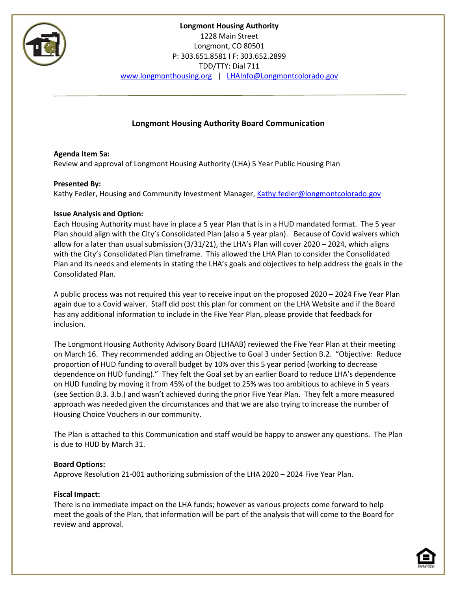

## **Longmont Housing Authority Board Communication**

**Agenda Item 5a:** Review and approval of Longmont Housing Authority (LHA) 5 Year Public Housing Plan

## **Presented By:**

Kathy Fedler, Housing and Community Investment Manager[, Kathy.fedler@longmontcolorado.gov](mailto:Kathy.fedler@longmontcolorado.gov)

## **Issue Analysis and Option:**

Each Housing Authority must have in place a 5 year Plan that is in a HUD mandated format. The 5 year Plan should align with the City's Consolidated Plan (also a 5 year plan). Because of Covid waivers which allow for a later than usual submission (3/31/21), the LHA's Plan will cover 2020 – 2024, which aligns with the City's Consolidated Plan timeframe. This allowed the LHA Plan to consider the Consolidated Plan and its needs and elements in stating the LHA's goals and objectives to help address the goals in the Consolidated Plan.

A public process was not required this year to receive input on the proposed 2020 – 2024 Five Year Plan again due to a Covid waiver. Staff did post this plan for comment on the LHA Website and if the Board has any additional information to include in the Five Year Plan, please provide that feedback for inclusion.

The Longmont Housing Authority Advisory Board (LHAAB) reviewed the Five Year Plan at their meeting on March 16. They recommended adding an Objective to Goal 3 under Section B.2. "Objective: Reduce proportion of HUD funding to overall budget by 10% over this 5 year period (working to decrease dependence on HUD funding)." They felt the Goal set by an earlier Board to reduce LHA's dependence on HUD funding by moving it from 45% of the budget to 25% was too ambitious to achieve in 5 years (see Section B.3. 3.b.) and wasn't achieved during the prior Five Year Plan. They felt a more measured approach was needed given the circumstances and that we are also trying to increase the number of Housing Choice Vouchers in our community.

The Plan is attached to this Communication and staff would be happy to answer any questions. The Plan is due to HUD by March 31.

#### **Board Options:**

Approve Resolution 21-001 authorizing submission of the LHA 2020 – 2024 Five Year Plan.

#### **Fiscal Impact:**

There is no immediate impact on the LHA funds; however as various projects come forward to help meet the goals of the Plan, that information will be part of the analysis that will come to the Board for review and approval.

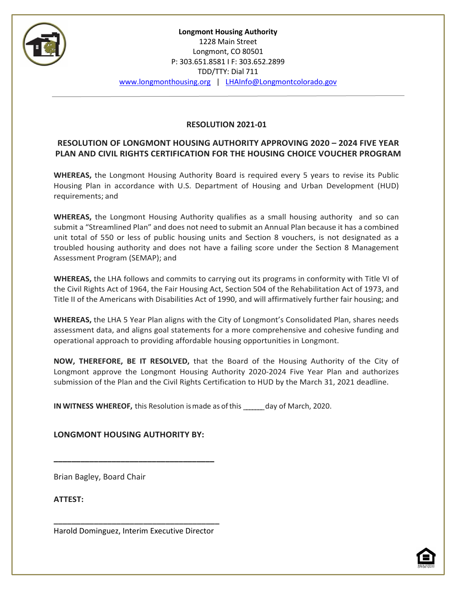

## **RESOLUTION 2021-01**

## **RESOLUTION OF LONGMONT HOUSING AUTHORITY APPROVING 2020 – 2024 FIVE YEAR PLAN AND CIVIL RIGHTS CERTIFICATION FOR THE HOUSING CHOICE VOUCHER PROGRAM**

**WHEREAS,** the Longmont Housing Authority Board is required every 5 years to revise its Public Housing Plan in accordance with U.S. Department of Housing and Urban Development (HUD) requirements; and

**WHEREAS,** the Longmont Housing Authority qualifies as a small housing authority and so can submit a "Streamlined Plan" and does not need to submit an Annual Plan because it has a combined unit total of 550 or less of public housing units and Section 8 vouchers, is not designated as a troubled housing authority and does not have a failing score under the Section 8 Management Assessment Program (SEMAP); and

**WHEREAS,** the LHA follows and commits to carrying out its programs in conformity with Title VI of the Civil Rights Act of 1964, the Fair Housing Act, Section 504 of the Rehabilitation Act of 1973, and Title II of the Americans with Disabilities Act of 1990, and will affirmatively further fair housing; and

**WHEREAS,** the LHA 5 Year Plan aligns with the City of Longmont's Consolidated Plan, shares needs assessment data, and aligns goal statements for a more comprehensive and cohesive funding and operational approach to providing affordable housing opportunities in Longmont.

**NOW, THEREFORE, BE IT RESOLVED,** that the Board of the Housing Authority of the City of Longmont approve the Longmont Housing Authority 2020-2024 Five Year Plan and authorizes submission of the Plan and the Civil Rights Certification to HUD by the March 31, 2021 deadline.

**IN WITNESS WHEREOF,** this Resolution ismade as ofthis \_\_\_\_\_\_\_day of March, 2020.

**LONGMONT HOUSING AUTHORITY BY:**

**\_\_\_\_\_\_\_\_\_\_\_\_\_\_\_\_\_\_\_\_\_\_\_\_\_\_\_\_\_\_\_\_\_\_\_\_**

Brian Bagley, Board Chair

**ATTEST:**

**\_\_\_\_\_\_\_\_\_\_\_\_\_\_\_\_\_\_\_\_\_\_\_\_\_\_\_\_\_\_\_\_\_\_\_\_\_** Harold Dominguez, Interim Executive Director

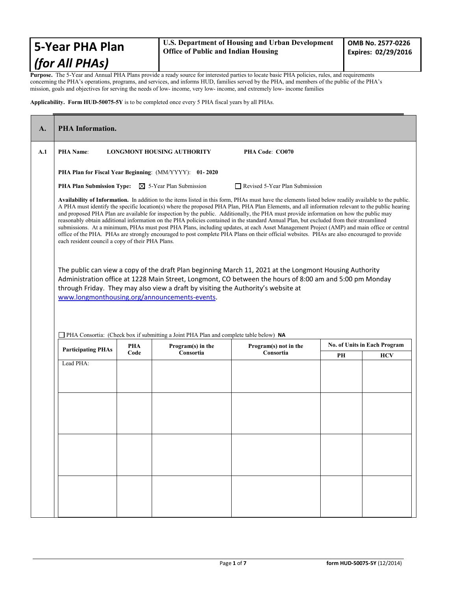## **5-Year PHA Plan** *(for All PHAs)*

**Purpose.** The 5-Year and Annual PHA Plans provide a ready source for interested parties to locate basic PHA policies, rules, and requirements concerning the PHA's operations, programs, and services, and informs HUD, families served by the PHA, and members of the public of the PHA's mission, goals and objectives for serving the needs of low- income, very low- income, and extremely low- income families

**Applicability. Form HUD-50075-5Y** is to be completed once every 5 PHA fiscal years by all PHAs.

| <b>PHA Information.</b>                                                                                                                                                                                                                                                                                                                                                                                                                                                                                                                                                                                                                                                                                                                                                                                                                                                                                                                     |                                        |                                         |                                                         |                                                                                                                |                                                                |  |  |  |  |  |  |  |  |
|---------------------------------------------------------------------------------------------------------------------------------------------------------------------------------------------------------------------------------------------------------------------------------------------------------------------------------------------------------------------------------------------------------------------------------------------------------------------------------------------------------------------------------------------------------------------------------------------------------------------------------------------------------------------------------------------------------------------------------------------------------------------------------------------------------------------------------------------------------------------------------------------------------------------------------------------|----------------------------------------|-----------------------------------------|---------------------------------------------------------|----------------------------------------------------------------------------------------------------------------|----------------------------------------------------------------|--|--|--|--|--|--|--|--|
| <b>PHA Name:</b><br><b>LONGMONT HOUSING AUTHORITY</b><br>PHA Code: CO070                                                                                                                                                                                                                                                                                                                                                                                                                                                                                                                                                                                                                                                                                                                                                                                                                                                                    |                                        |                                         |                                                         |                                                                                                                |                                                                |  |  |  |  |  |  |  |  |
| PHA Plan for Fiscal Year Beginning: (MM/YYYY): 01-2020                                                                                                                                                                                                                                                                                                                                                                                                                                                                                                                                                                                                                                                                                                                                                                                                                                                                                      |                                        |                                         |                                                         |                                                                                                                |                                                                |  |  |  |  |  |  |  |  |
|                                                                                                                                                                                                                                                                                                                                                                                                                                                                                                                                                                                                                                                                                                                                                                                                                                                                                                                                             |                                        |                                         |                                                         |                                                                                                                |                                                                |  |  |  |  |  |  |  |  |
| Availability of Information. In addition to the items listed in this form, PHAs must have the elements listed below readily available to the public.<br>A PHA must identify the specific location(s) where the proposed PHA Plan, PHA Plan Elements, and all information relevant to the public hearing<br>and proposed PHA Plan are available for inspection by the public. Additionally, the PHA must provide information on how the public may<br>reasonably obtain additional information on the PHA policies contained in the standard Annual Plan, but excluded from their streamlined<br>submissions. At a minimum, PHAs must post PHA Plans, including updates, at each Asset Management Project (AMP) and main office or central<br>office of the PHA. PHAs are strongly encouraged to post complete PHA Plans on their official websites. PHAs are also encouraged to provide<br>each resident council a copy of their PHA Plans. |                                        |                                         |                                                         |                                                                                                                |                                                                |  |  |  |  |  |  |  |  |
| The public can view a copy of the draft Plan beginning March 11, 2021 at the Longmont Housing Authority<br>Administration office at 1228 Main Street, Longmont, CO between the hours of 8:00 am and 5:00 pm Monday<br>through Friday. They may also view a draft by visiting the Authority's website at<br>www.longmonthousing.org/announcements-events.                                                                                                                                                                                                                                                                                                                                                                                                                                                                                                                                                                                    |                                        |                                         |                                                         |                                                                                                                |                                                                |  |  |  |  |  |  |  |  |
|                                                                                                                                                                                                                                                                                                                                                                                                                                                                                                                                                                                                                                                                                                                                                                                                                                                                                                                                             |                                        |                                         |                                                         |                                                                                                                |                                                                |  |  |  |  |  |  |  |  |
|                                                                                                                                                                                                                                                                                                                                                                                                                                                                                                                                                                                                                                                                                                                                                                                                                                                                                                                                             | Code                                   | Consortia                               | Consortia                                               | PН                                                                                                             | <b>HCV</b>                                                     |  |  |  |  |  |  |  |  |
|                                                                                                                                                                                                                                                                                                                                                                                                                                                                                                                                                                                                                                                                                                                                                                                                                                                                                                                                             |                                        |                                         |                                                         |                                                                                                                |                                                                |  |  |  |  |  |  |  |  |
|                                                                                                                                                                                                                                                                                                                                                                                                                                                                                                                                                                                                                                                                                                                                                                                                                                                                                                                                             | <b>Participating PHAs</b><br>Lead PHA: | <b>PHA Plan Submission Type:</b><br>PHA | $\boxtimes$ 5-Year Plan Submission<br>Program(s) in the | PHA Consortia: (Check box if submitting a Joint PHA Plan and complete table below) NA<br>Program(s) not in the | Revised 5-Year Plan Submission<br>No. of Units in Each Program |  |  |  |  |  |  |  |  |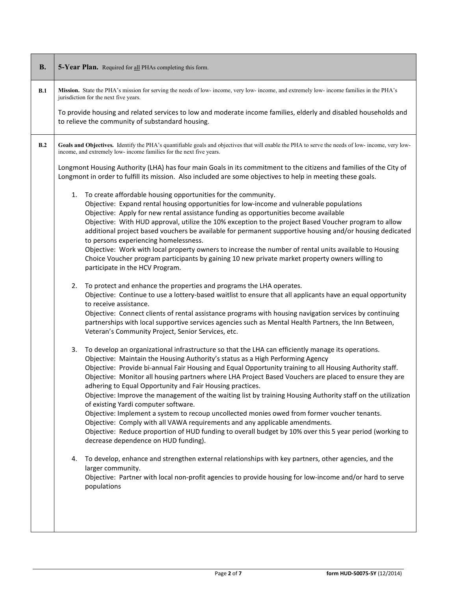| <b>B.</b> | 5-Year Plan. Required for all PHAs completing this form.                                                                                                                                                                                                                                                                                                                                                                                                                                                                                                                                                                                                                                                                                                                                                                                                                                                                                                              |  |  |  |  |  |  |  |  |  |  |  |  |
|-----------|-----------------------------------------------------------------------------------------------------------------------------------------------------------------------------------------------------------------------------------------------------------------------------------------------------------------------------------------------------------------------------------------------------------------------------------------------------------------------------------------------------------------------------------------------------------------------------------------------------------------------------------------------------------------------------------------------------------------------------------------------------------------------------------------------------------------------------------------------------------------------------------------------------------------------------------------------------------------------|--|--|--|--|--|--|--|--|--|--|--|--|
| B.1       | Mission. State the PHA's mission for serving the needs of low-income, very low-income, and extremely low-income families in the PHA's<br>jurisdiction for the next five years.                                                                                                                                                                                                                                                                                                                                                                                                                                                                                                                                                                                                                                                                                                                                                                                        |  |  |  |  |  |  |  |  |  |  |  |  |
|           | To provide housing and related services to low and moderate income families, elderly and disabled households and<br>to relieve the community of substandard housing.                                                                                                                                                                                                                                                                                                                                                                                                                                                                                                                                                                                                                                                                                                                                                                                                  |  |  |  |  |  |  |  |  |  |  |  |  |
| B.2       | Goals and Objectives. Identify the PHA's quantifiable goals and objectives that will enable the PHA to serve the needs of low- income, very low-<br>income, and extremely low- income families for the next five years.                                                                                                                                                                                                                                                                                                                                                                                                                                                                                                                                                                                                                                                                                                                                               |  |  |  |  |  |  |  |  |  |  |  |  |
|           | Longmont Housing Authority (LHA) has four main Goals in its commitment to the citizens and families of the City of<br>Longmont in order to fulfill its mission. Also included are some objectives to help in meeting these goals.                                                                                                                                                                                                                                                                                                                                                                                                                                                                                                                                                                                                                                                                                                                                     |  |  |  |  |  |  |  |  |  |  |  |  |
|           | To create affordable housing opportunities for the community.<br>1.<br>Objective: Expand rental housing opportunities for low-income and vulnerable populations<br>Objective: Apply for new rental assistance funding as opportunities become available<br>Objective: With HUD approval, utilize the 10% exception to the project Based Voucher program to allow<br>additional project based vouchers be available for permanent supportive housing and/or housing dedicated<br>to persons experiencing homelessness.<br>Objective: Work with local property owners to increase the number of rental units available to Housing<br>Choice Voucher program participants by gaining 10 new private market property owners willing to<br>participate in the HCV Program.                                                                                                                                                                                                 |  |  |  |  |  |  |  |  |  |  |  |  |
|           | To protect and enhance the properties and programs the LHA operates.<br>2.<br>Objective: Continue to use a lottery-based waitlist to ensure that all applicants have an equal opportunity<br>to receive assistance.<br>Objective: Connect clients of rental assistance programs with housing navigation services by continuing<br>partnerships with local supportive services agencies such as Mental Health Partners, the Inn Between,<br>Veteran's Community Project, Senior Services, etc.                                                                                                                                                                                                                                                                                                                                                                                                                                                                         |  |  |  |  |  |  |  |  |  |  |  |  |
|           | 3. To develop an organizational infrastructure so that the LHA can efficiently manage its operations.<br>Objective: Maintain the Housing Authority's status as a High Performing Agency<br>Objective: Provide bi-annual Fair Housing and Equal Opportunity training to all Housing Authority staff.<br>Objective: Monitor all housing partners where LHA Project Based Vouchers are placed to ensure they are<br>adhering to Equal Opportunity and Fair Housing practices.<br>Objective: Improve the management of the waiting list by training Housing Authority staff on the utilization<br>of existing Yardi computer software.<br>Objective: Implement a system to recoup uncollected monies owed from former voucher tenants.<br>Objective: Comply with all VAWA requirements and any applicable amendments.<br>Objective: Reduce proportion of HUD funding to overall budget by 10% over this 5 year period (working to<br>decrease dependence on HUD funding). |  |  |  |  |  |  |  |  |  |  |  |  |
|           | To develop, enhance and strengthen external relationships with key partners, other agencies, and the<br>4.<br>larger community.<br>Objective: Partner with local non-profit agencies to provide housing for low-income and/or hard to serve<br>populations                                                                                                                                                                                                                                                                                                                                                                                                                                                                                                                                                                                                                                                                                                            |  |  |  |  |  |  |  |  |  |  |  |  |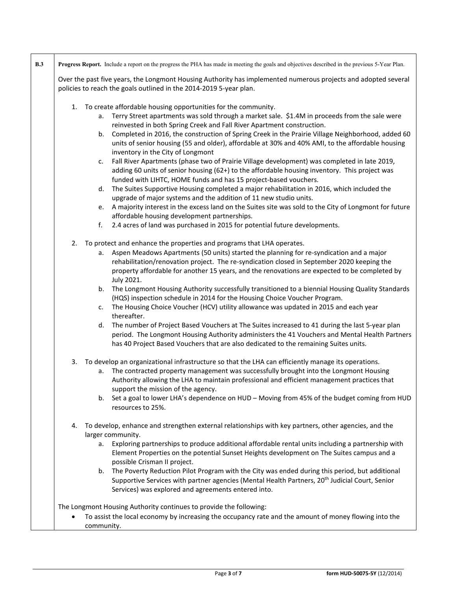|    | Progress Report. Include a report on the progress the PHA has made in meeting the goals and objectives described in the previous 5-Year Plan. |
|----|-----------------------------------------------------------------------------------------------------------------------------------------------|
|    | Over the past five years, the Longmont Housing Authority has implemented numerous projects and adopted several                                |
|    | policies to reach the goals outlined in the 2014-2019 5-year plan.                                                                            |
|    | 1. To create affordable housing opportunities for the community.                                                                              |
|    | a. Terry Street apartments was sold through a market sale. \$1.4M in proceeds from the sale were                                              |
|    | reinvested in both Spring Creek and Fall River Apartment construction.                                                                        |
|    | Completed in 2016, the construction of Spring Creek in the Prairie Village Neighborhood, added 60<br>b.                                       |
|    | units of senior housing (55 and older), affordable at 30% and 40% AMI, to the affordable housing                                              |
|    | inventory in the City of Longmont                                                                                                             |
|    | Fall River Apartments (phase two of Prairie Village development) was completed in late 2019,<br>c.                                            |
|    | adding 60 units of senior housing (62+) to the affordable housing inventory. This project was                                                 |
|    | funded with LIHTC, HOME funds and has 15 project-based vouchers.                                                                              |
|    | d. The Suites Supportive Housing completed a major rehabilitation in 2016, which included the                                                 |
|    | upgrade of major systems and the addition of 11 new studio units.                                                                             |
|    | e. A majority interest in the excess land on the Suites site was sold to the City of Longmont for future                                      |
|    | affordable housing development partnerships.                                                                                                  |
|    | 2.4 acres of land was purchased in 2015 for potential future developments.<br>f.                                                              |
|    |                                                                                                                                               |
| 2. | To protect and enhance the properties and programs that LHA operates.                                                                         |
|    | a. Aspen Meadows Apartments (50 units) started the planning for re-syndication and a major                                                    |
|    | rehabilitation/renovation project. The re-syndication closed in September 2020 keeping the                                                    |
|    | property affordable for another 15 years, and the renovations are expected to be completed by                                                 |
|    | July 2021.                                                                                                                                    |
|    | b. The Longmont Housing Authority successfully transitioned to a biennial Housing Quality Standards                                           |
|    | (HQS) inspection schedule in 2014 for the Housing Choice Voucher Program.                                                                     |
|    | c. The Housing Choice Voucher (HCV) utility allowance was updated in 2015 and each year                                                       |
|    | thereafter.                                                                                                                                   |
|    | d. The number of Project Based Vouchers at The Suites increased to 41 during the last 5-year plan                                             |
|    | period. The Longmont Housing Authority administers the 41 Vouchers and Mental Health Partners                                                 |
|    | has 40 Project Based Vouchers that are also dedicated to the remaining Suites units.                                                          |
|    |                                                                                                                                               |
| 3. | To develop an organizational infrastructure so that the LHA can efficiently manage its operations.                                            |
|    | a. The contracted property management was successfully brought into the Longmont Housing                                                      |
|    | Authority allowing the LHA to maintain professional and efficient management practices that                                                   |
|    | support the mission of the agency.                                                                                                            |
|    | b. Set a goal to lower LHA's dependence on HUD - Moving from 45% of the budget coming from HUD                                                |
|    | resources to 25%.                                                                                                                             |
| 4. | To develop, enhance and strengthen external relationships with key partners, other agencies, and the                                          |
|    | larger community.                                                                                                                             |
|    | Exploring partnerships to produce additional affordable rental units including a partnership with<br>а. -                                     |
|    | Element Properties on the potential Sunset Heights development on The Suites campus and a                                                     |
|    | possible Crisman II project.                                                                                                                  |
|    | b. The Poverty Reduction Pilot Program with the City was ended during this period, but additional                                             |
|    | Supportive Services with partner agencies (Mental Health Partners, 20 <sup>th</sup> Judicial Court, Senior                                    |
|    | Services) was explored and agreements entered into.                                                                                           |
|    |                                                                                                                                               |
|    | The Longmont Housing Authority continues to provide the following:                                                                            |
|    | To assist the local economy by increasing the occupancy rate and the amount of money flowing into the                                         |
|    | community.                                                                                                                                    |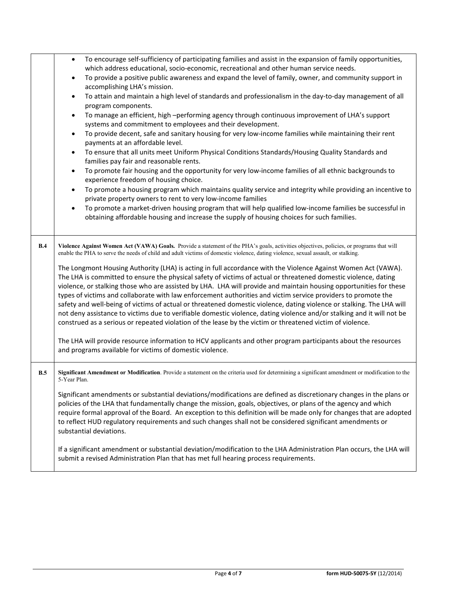|     | To encourage self-sufficiency of participating families and assist in the expansion of family opportunities,<br>$\bullet$<br>which address educational, socio-economic, recreational and other human service needs.<br>To provide a positive public awareness and expand the level of family, owner, and community support in<br>$\bullet$<br>accomplishing LHA's mission.<br>To attain and maintain a high level of standards and professionalism in the day-to-day management of all<br>$\bullet$<br>program components.<br>To manage an efficient, high -performing agency through continuous improvement of LHA's support<br>$\bullet$<br>systems and commitment to employees and their development.<br>To provide decent, safe and sanitary housing for very low-income families while maintaining their rent<br>$\bullet$<br>payments at an affordable level.<br>To ensure that all units meet Uniform Physical Conditions Standards/Housing Quality Standards and<br>$\bullet$<br>families pay fair and reasonable rents.<br>To promote fair housing and the opportunity for very low-income families of all ethnic backgrounds to<br>$\bullet$<br>experience freedom of housing choice.<br>To promote a housing program which maintains quality service and integrity while providing an incentive to<br>$\bullet$<br>private property owners to rent to very low-income families<br>To promote a market-driven housing program that will help qualified low-income families be successful in<br>$\bullet$<br>obtaining affordable housing and increase the supply of housing choices for such families. |
|-----|------------------------------------------------------------------------------------------------------------------------------------------------------------------------------------------------------------------------------------------------------------------------------------------------------------------------------------------------------------------------------------------------------------------------------------------------------------------------------------------------------------------------------------------------------------------------------------------------------------------------------------------------------------------------------------------------------------------------------------------------------------------------------------------------------------------------------------------------------------------------------------------------------------------------------------------------------------------------------------------------------------------------------------------------------------------------------------------------------------------------------------------------------------------------------------------------------------------------------------------------------------------------------------------------------------------------------------------------------------------------------------------------------------------------------------------------------------------------------------------------------------------------------------------------------------------------------------------------------------------|
| B.4 | Violence Against Women Act (VAWA) Goals. Provide a statement of the PHA's goals, activities objectives, policies, or programs that will<br>enable the PHA to serve the needs of child and adult victims of domestic violence, dating violence, sexual assault, or stalking.<br>The Longmont Housing Authority (LHA) is acting in full accordance with the Violence Against Women Act (VAWA).<br>The LHA is committed to ensure the physical safety of victims of actual or threatened domestic violence, dating<br>violence, or stalking those who are assisted by LHA. LHA will provide and maintain housing opportunities for these<br>types of victims and collaborate with law enforcement authorities and victim service providers to promote the<br>safety and well-being of victims of actual or threatened domestic violence, dating violence or stalking. The LHA will<br>not deny assistance to victims due to verifiable domestic violence, dating violence and/or stalking and it will not be<br>construed as a serious or repeated violation of the lease by the victim or threatened victim of violence.<br>The LHA will provide resource information to HCV applicants and other program participants about the resources<br>and programs available for victims of domestic violence.                                                                                                                                                                                                                                                                                                             |
| B.5 | Significant Amendment or Modification. Provide a statement on the criteria used for determining a significant amendment or modification to the<br>5-Year Plan.<br>Significant amendments or substantial deviations/modifications are defined as discretionary changes in the plans or<br>policies of the LHA that fundamentally change the mission, goals, objectives, or plans of the agency and which<br>require formal approval of the Board. An exception to this definition will be made only for changes that are adopted<br>to reflect HUD regulatory requirements and such changes shall not be considered significant amendments or<br>substantial deviations.<br>If a significant amendment or substantial deviation/modification to the LHA Administration Plan occurs, the LHA will<br>submit a revised Administration Plan that has met full hearing process requirements.                                                                                                                                                                                                                                                                                                                                                                                                                                                                                                                                                                                                                                                                                                                          |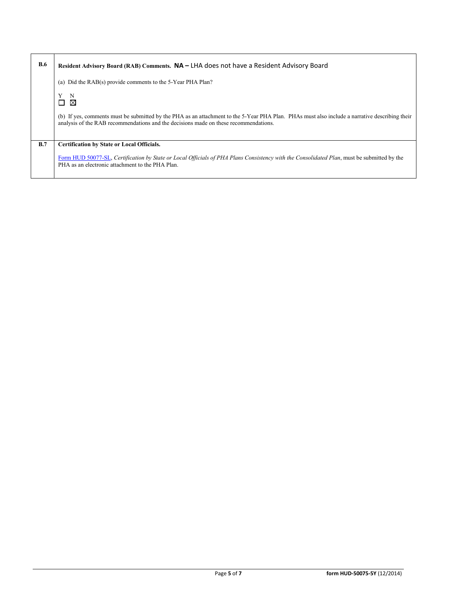| B.6 | Resident Advisory Board (RAB) Comments. NA – LHA does not have a Resident Advisory Board                                                                                                                                               |
|-----|----------------------------------------------------------------------------------------------------------------------------------------------------------------------------------------------------------------------------------------|
|     | (a) Did the RAB(s) provide comments to the 5-Year PHA Plan?                                                                                                                                                                            |
|     | N<br>⊠<br>П                                                                                                                                                                                                                            |
|     | (b) If yes, comments must be submitted by the PHA as an attachment to the 5-Year PHA Plan. PHAs must also include a narrative describing their<br>analysis of the RAB recommendations and the decisions made on these recommendations. |
| B.7 | <b>Certification by State or Local Officials.</b>                                                                                                                                                                                      |
|     | Form HUD 50077-SL, Certification by State or Local Officials of PHA Plans Consistency with the Consolidated Plan, must be submitted by the<br>PHA as an electronic attachment to the PHA Plan.                                         |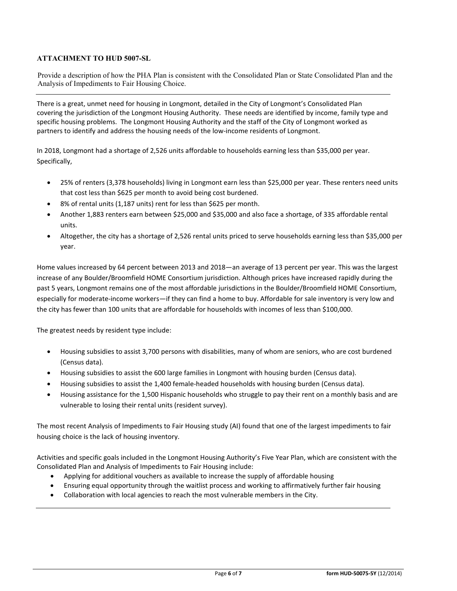#### **ATTACHMENT TO HUD 5007-SL**

Provide a description of how the PHA Plan is consistent with the Consolidated Plan or State Consolidated Plan and the Analysis of Impediments to Fair Housing Choice.

There is a great, unmet need for housing in Longmont, detailed in the City of Longmont's Consolidated Plan covering the jurisdiction of the Longmont Housing Authority. These needs are identified by income, family type and specific housing problems. The Longmont Housing Authority and the staff of the City of Longmont worked as partners to identify and address the housing needs of the low-income residents of Longmont.

In 2018, Longmont had a shortage of 2,526 units affordable to households earning less than \$35,000 per year. Specifically,

- 25% of renters (3,378 households) living in Longmont earn less than \$25,000 per year. These renters need units that cost less than \$625 per month to avoid being cost burdened.
- 8% of rental units (1,187 units) rent for less than \$625 per month.
- Another 1,883 renters earn between \$25,000 and \$35,000 and also face a shortage, of 335 affordable rental units.
- Altogether, the city has a shortage of 2,526 rental units priced to serve households earning less than \$35,000 per year.

Home values increased by 64 percent between 2013 and 2018—an average of 13 percent per year. This was the largest increase of any Boulder/Broomfield HOME Consortium jurisdiction. Although prices have increased rapidly during the past 5 years, Longmont remains one of the most affordable jurisdictions in the Boulder/Broomfield HOME Consortium, especially for moderate-income workers—if they can find a home to buy. Affordable for sale inventory is very low and the city has fewer than 100 units that are affordable for households with incomes of less than \$100,000.

The greatest needs by resident type include:

- Housing subsidies to assist 3,700 persons with disabilities, many of whom are seniors, who are cost burdened (Census data).
- Housing subsidies to assist the 600 large families in Longmont with housing burden (Census data).
- Housing subsidies to assist the 1,400 female-headed households with housing burden (Census data).
- Housing assistance for the 1,500 Hispanic households who struggle to pay their rent on a monthly basis and are vulnerable to losing their rental units (resident survey).

The most recent Analysis of Impediments to Fair Housing study (AI) found that one of the largest impediments to fair housing choice is the lack of housing inventory.

Activities and specific goals included in the Longmont Housing Authority's Five Year Plan, which are consistent with the Consolidated Plan and Analysis of Impediments to Fair Housing include:

- Applying for additional vouchers as available to increase the supply of affordable housing
- Ensuring equal opportunity through the waitlist process and working to affirmatively further fair housing
- Collaboration with local agencies to reach the most vulnerable members in the City.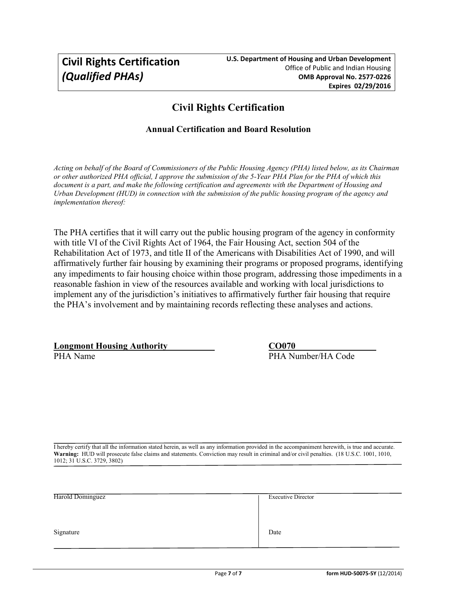## **Civil Rights Certification**

## **Annual Certification and Board Resolution**

*Acting on behalf of the Board of Commissioners of the Public Housing Agency (PHA) listed below, as its Chairman or other authorized PHA official, I approve the submission of the 5-Year PHA Plan for the PHA of which this document is a part, and make the following certification and agreements with the Department of Housing and Urban Development (HUD) in connection with the submission of the public housing program of the agency and implementation thereof:* 

The PHA certifies that it will carry out the public housing program of the agency in conformity with title VI of the Civil Rights Act of 1964, the Fair Housing Act, section 504 of the Rehabilitation Act of 1973, and title II of the Americans with Disabilities Act of 1990, and will affirmatively further fair housing by examining their programs or proposed programs, identifying any impediments to fair housing choice within those program, addressing those impediments in a reasonable fashion in view of the resources available and working with local jurisdictions to implement any of the jurisdiction's initiatives to affirmatively further fair housing that require the PHA's involvement and by maintaining records reflecting these analyses and actions.

**Longmont Housing Authority CO070**<br> **PHA Name CO070** 

PHA Number/HA Code

I hereby certify that all the information stated herein, as well as any information provided in the accompaniment herewith, is true and accurate. **Warning:** HUD will prosecute false claims and statements. Conviction may result in criminal and/or civil penalties. (18 U.S.C. 1001, 1010, 1012; 31 U.S.C. 3729, 3802)

| Harold Dominguez | <b>Executive Director</b> |
|------------------|---------------------------|
|                  |                           |
| Signature        | Date                      |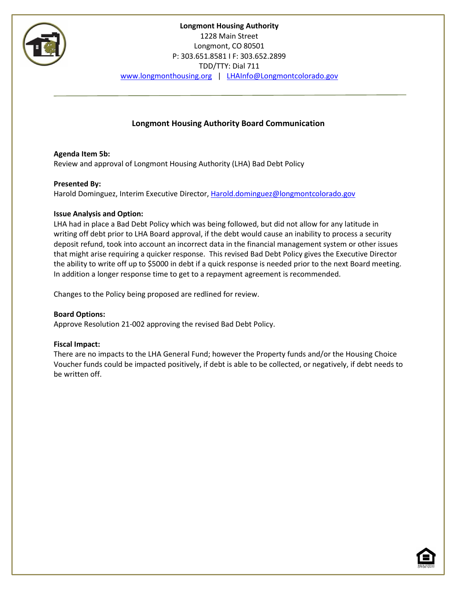

## **Longmont Housing Authority Board Communication**

**Agenda Item 5b:** Review and approval of Longmont Housing Authority (LHA) Bad Debt Policy

#### **Presented By:**

Harold Dominguez, Interim Executive Director[, Harold.dominguez@longmontcolorado.gov](mailto:Harold.dominguez@longmontcolorado.gov)

#### **Issue Analysis and Option:**

LHA had in place a Bad Debt Policy which was being followed, but did not allow for any latitude in writing off debt prior to LHA Board approval, if the debt would cause an inability to process a security deposit refund, took into account an incorrect data in the financial management system or other issues that might arise requiring a quicker response. This revised Bad Debt Policy gives the Executive Director the ability to write off up to \$5000 in debt if a quick response is needed prior to the next Board meeting. In addition a longer response time to get to a repayment agreement is recommended.

Changes to the Policy being proposed are redlined for review.

**Board Options:**  Approve Resolution 21-002 approving the revised Bad Debt Policy.

#### **Fiscal Impact:**

There are no impacts to the LHA General Fund; however the Property funds and/or the Housing Choice Voucher funds could be impacted positively, if debt is able to be collected, or negatively, if debt needs to be written off.

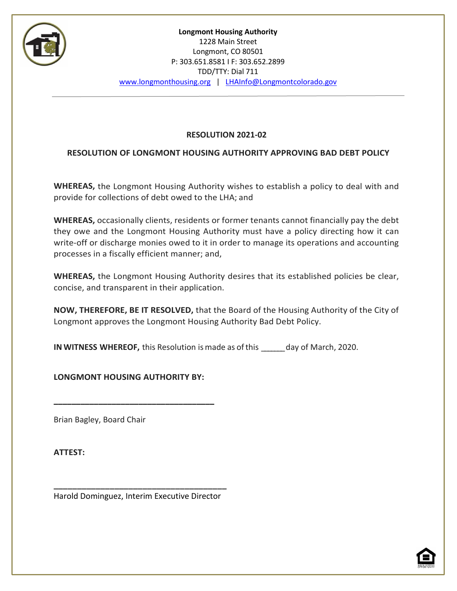

## **RESOLUTION 2021-02**

## **RESOLUTION OF LONGMONT HOUSING AUTHORITY APPROVING BAD DEBT POLICY**

**WHEREAS,** the Longmont Housing Authority wishes to establish a policy to deal with and provide for collections of debt owed to the LHA; and

**WHEREAS,** occasionally clients, residents or former tenants cannot financially pay the debt they owe and the Longmont Housing Authority must have a policy directing how it can write-off or discharge monies owed to it in order to manage its operations and accounting processes in a fiscally efficient manner; and,

**WHEREAS,** the Longmont Housing Authority desires that its established policies be clear, concise, and transparent in their application.

**NOW, THEREFORE, BE IT RESOLVED,** that the Board of the Housing Authority of the City of Longmont approves the Longmont Housing Authority Bad Debt Policy.

**IN WITNESS WHEREOF,** this Resolution ismade as ofthis \_\_\_\_\_\_\_day of March, 2020.

**LONGMONT HOUSING AUTHORITY BY:**

**\_\_\_\_\_\_\_\_\_\_\_\_\_\_\_\_\_\_\_\_\_\_\_\_\_\_\_\_\_\_\_\_\_\_\_\_**

Brian Bagley, Board Chair

**ATTEST:**

**\_\_\_\_\_\_\_\_\_\_\_\_\_\_\_\_\_\_\_\_\_\_\_\_\_\_\_\_\_\_\_\_\_\_\_\_\_** Harold Dominguez, Interim Executive Director

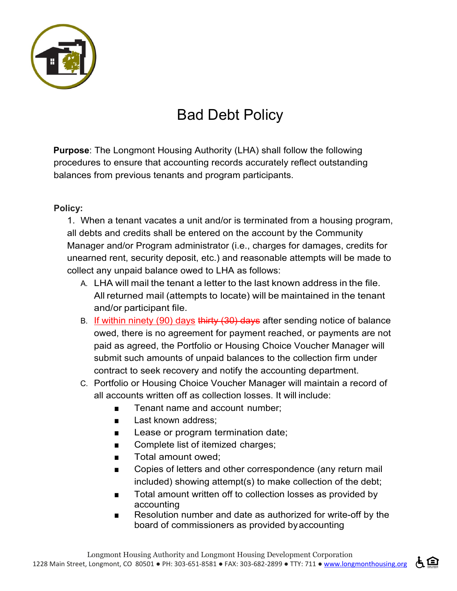

# Bad Debt Policy

**Purpose**: The Longmont Housing Authority (LHA) shall follow the following procedures to ensure that accounting records accurately reflect outstanding balances from previous tenants and program participants.

## **Policy:**

1. When a tenant vacates a unit and/or is terminated from a housing program, all debts and credits shall be entered on the account by the Community Manager and/or Program administrator (i.e., charges for damages, credits for unearned rent, security deposit, etc.) and reasonable attempts will be made to collect any unpaid balance owed to LHA as follows:

- A. LHA will mail the tenant a letter to the last known address in the file. All returned mail (attempts to locate) will be maintained in the tenant and/or participant file.
- B. If within ninety (90) days thirty (30) days after sending notice of balance owed, there is no agreement for payment reached, or payments are not paid as agreed, the Portfolio or Housing Choice Voucher Manager will submit such amounts of unpaid balances to the collection firm under contract to seek recovery and notify the accounting department.
- C. Portfolio or Housing Choice Voucher Manager will maintain a record of all accounts written off as collection losses. It will include:
	- Tenant name and account number;
	- Last known address:
	- Lease or program termination date;
	- Complete list of itemized charges;
	- Total amount owed:
	- Copies of letters and other correspondence (any return mail included) showing attempt(s) to make collection of the debt;
	- Total amount written off to collection losses as provided by accounting
	- Resolution number and date as authorized for write-off by the board of commissioners as provided byaccounting

占旦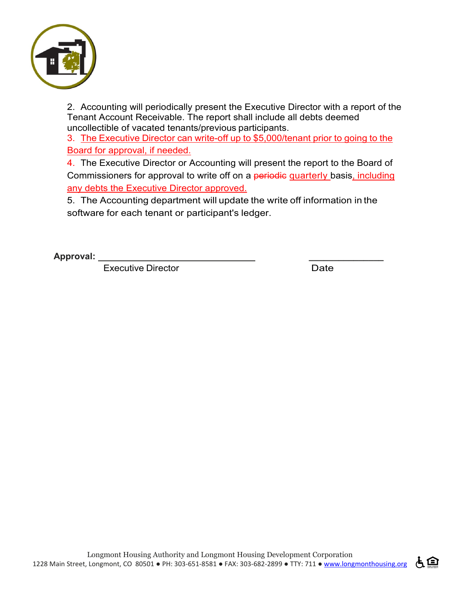

2. Accounting will periodically present the Executive Director with a report of the Tenant Account Receivable. The report shall include all debts deemed uncollectible of vacated tenants/previous participants.

3. The Executive Director can write-off up to \$5,000/tenant prior to going to the Board for approval, if needed.

4. The Executive Director or Accounting will present the report to the Board of Commissioners for approval to write off on a periodic quarterly basis, including any debts the Executive Director approved.

5. The Accounting department will update the write off information in the software for each tenant or participant's ledger.

**Approval: \_\_\_\_\_\_\_\_\_\_\_\_\_\_\_** 

Executive Director **Date** 

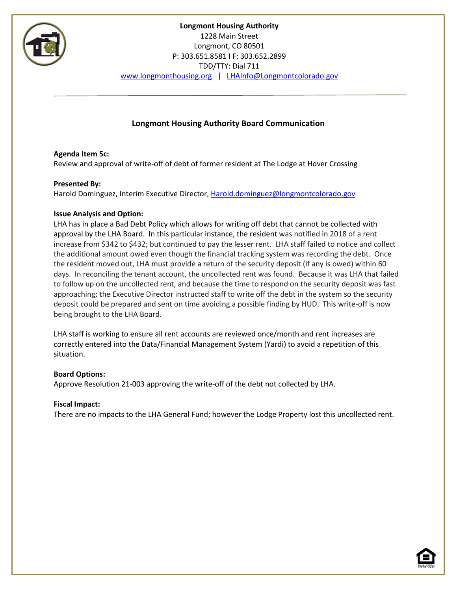

## **Longmont Housing Authority Board Communication**

## **Agenda Item 5c:**

Review and approval of write-off of debt of former resident at The Lodge at Hover Crossing

## **Presented By:**

Harold Dominguez, Interim Executive Director[, Harold.dominguez@longmontcolorado.gov](mailto:Harold.dominguez@longmontcolorado.gov)

#### **Issue Analysis and Option:**

LHA has in place a Bad Debt Policy which allows for writing off debt that cannot be collected with approval by the LHA Board. In this particular instance, the resident was notified in 2018 of a rent increase from \$342 to \$432; but continued to pay the lesser rent. LHA staff failed to notice and collect the additional amount owed even though the financial tracking system was recording the debt. Once the resident moved out, LHA must provide a return of the security deposit (if any is owed) within 60 days. In reconciling the tenant account, the uncollected rent was found. Because it was LHA that failed to follow up on the uncollected rent, and because the time to respond on the security deposit was fast approaching; the Executive Director instructed staff to write off the debt in the system so the security deposit could be prepared and sent on time avoiding a possible finding by HUD. This write-off is now being brought to the LHA Board.

LHA staff is working to ensure all rent accounts are reviewed once/month and rent increases are correctly entered into the Data/Financial Management System (Yardi) to avoid a repetition of this situation.

#### **Board Options:**

Approve Resolution 21-003 approving the write-off of the debt not collected by LHA.

#### **Fiscal Impact:**

There are no impacts to the LHA General Fund; however the Lodge Property lost this uncollected rent.

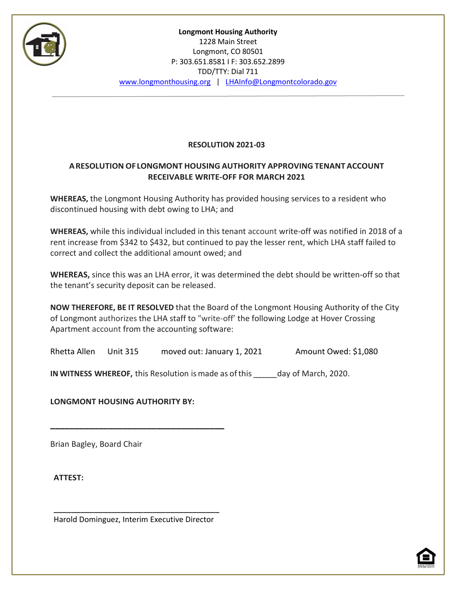

## **RESOLUTION 2021-03**

## **ARESOLUTION OFLONGMONT HOUSING AUTHORITY APPROVING TENANT ACCOUNT RECEIVABLE WRITE-OFF FOR MARCH 2021**

**WHEREAS,** the Longmont Housing Authority has provided housing services to a resident who discontinued housing with debt owing to LHA; and

**WHEREAS,** while this individual included in this tenant account write-off was notified in 2018 of a rent increase from \$342 to \$432, but continued to pay the lesser rent, which LHA staff failed to correct and collect the additional amount owed; and

**WHEREAS,** since this was an LHA error, it was determined the debt should be written-off so that the tenant's security deposit can be released.

**NOW THEREFORE, BE IT RESOLVED** that the Board of the Longmont Housing Authority of the City of Longmont authorizes the LHA staff to "write-off' the following Lodge at Hover Crossing Apartment account from the accounting software:

Rhetta Allen Unit 315 moved out: January 1, 2021 Amount Owed: \$1,080

**IN WITNESS WHEREOF,** this Resolution ismade as ofthis \_\_\_\_\_\_\_day of March, 2020.

**LONGMONT HOUSING AUTHORITY BY:**

**\_\_\_\_\_\_\_\_\_\_\_\_\_\_\_\_\_\_\_\_\_\_\_\_\_\_\_\_\_\_\_\_\_\_\_\_**

Brian Bagley, Board Chair

**ATTEST:**

**\_\_\_\_\_\_\_\_\_\_\_\_\_\_\_\_\_\_\_\_\_\_\_\_\_\_\_\_\_\_\_\_\_\_\_\_\_** Harold Dominguez, Interim Executive Director

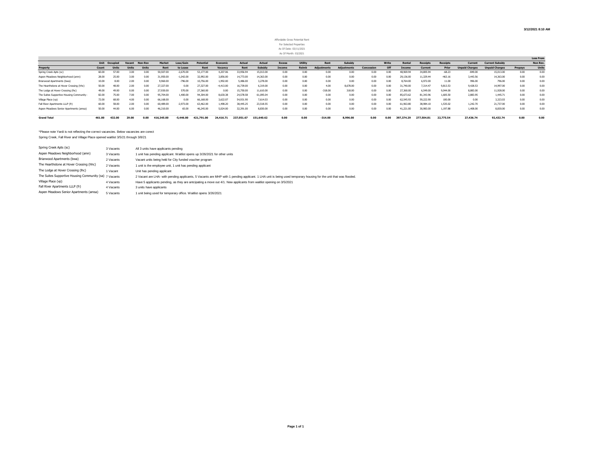#### Affordable Gross Potential Rent For Selected Properties As Of Date: 03/11/2021 As Of Month: 03/2021

|                                           |        |                      |        |              |            |             |            |             |            |                |               |                |                   |                    |            |       |            |                 |                 |                       |                        |         | <b>Loss From</b> |
|-------------------------------------------|--------|----------------------|--------|--------------|------------|-------------|------------|-------------|------------|----------------|---------------|----------------|-------------------|--------------------|------------|-------|------------|-----------------|-----------------|-----------------------|------------------------|---------|------------------|
|                                           |        | <b>Unit</b> Occupied | Vacant | Non-Rev      | Market     | Loss/Gain   | Potential  | Economic    | Actual     | Actual         | <b>Excess</b> | <b>Utility</b> | Rent              | Subsidy            |            | Write | Rental     | <b>Receipts</b> | <b>Receipts</b> | Current               | <b>Current Subsidy</b> |         | <b>Non Re</b>    |
| <b>Property</b>                           | Count  | Units                | Units  | <b>Units</b> | Rent       | to Lease    | Rent       | Vacancy     | Rent       | <b>Subsidy</b> | Income        | <b>Reimb</b>   | <b>Adjustment</b> | <b>Adiustments</b> | Concession | Off   | Income     | Current         | Prior           | <b>Unpaid Charges</b> | <b>Unpaid Charges</b>  | Prepays | Unit             |
| Spring Creek Apts (sc)                    | 60.00  | 57.00                | 3.00   |              | 50,507.00  | $-2,670.00$ | 53,177.00  | 4.207.06    | 33,956.94  | 15,013.00      | 0.00          | 0.00           | 0.00              | 0.00               | 0.00       | 0.00  | 48,969.94  | 34,805.94       | $-68.23$        | $-849.00$             | 15,013.00              | 0.00    | 0.00             |
| Aspen Meadows Neighborhood (amn)          | 28.00  | 25.00                | 3.00   | 0.00         | 31.950.00  | $-1.042.00$ | 32.992.00  | 3,856,00    | 14,773.00  | 14,363.00      | 0.00          | 0.00           | 0.00              | 0.00               | 0.00       | 0.00  | 29,136.00  | 11.329.44       | $-463.16$       | 3,443.56              | 14,363.00              | 0.00    | 0.00             |
| Briarwood Apartments (bwa)                | 10.00  | 8.00                 | 2.00   | 0.00         | 9,960.00   | $-796.00$   | 10,756.00  | 1.992.00    | 5,486.00   | 3,278,00       | 0.00          | 0.00           | 0.00              | 0.00               | 0.00       | 0.00  | 8.764.00   | 6.972.00        | 11.00           | 996.00                | 796.00                 | 0.00    | 0.00             |
| The Hearthstone at Hover Crossing (hhc)   | 50.00  | 48.00                | 2.00   | 0.00         | 27,327.00  | 0.00        | 27.327.00  | $-4.413.00$ | 16,739.00  | 6,319.00       | 0.00          | 0.00           | 4.00              | 8.678.00           | 0.00       | 0.00  | 31,740.00  | 7.314.47        | 9.813.53        | 9,428.53              | 14,997.00              | 0.00    | 0.00             |
| The Lodge at Hover Crossing (Ihc)         | 49.00  | 49.00                | 0.00   | 0.00         | 27,930.00  | 570.00      | 27,360.00  | 0.00        | 15.750.00  | 11.610.00      | 0.00          | 0.00           | $-318.00$         | 318.00             | 0.00       | 0.00  | 27,360.00  | 6,549.00        | 9,044,00        | 8,883,00              | 11.928.00              | 0.00    | 0.00             |
| The Suites Supportive Housing Community ( | 82.00  | 75.00                | 7.00   | 0.00         | 95,704.00  | 1.400.00    | 94,304.00  | 8.630.38    | 24.578.58  | 61.095.04      | 0.00          | 0.00           | 0.00              | 0.00               | 0.00       | 0.00  | 85.673.62  | 81.343.96       | 1.605.50        | 2,883.95              | 1.445.71               | 0.00    | 0.00             |
| Village Place (vp)                        | 72.00  | 68.00                | 4.00   | 0.00         | 66,168,00  | 0.00        | 66,168.00  | 3.622.07    | 54,931.90  | 7.614.03       | 0.00          | 0.00           | 0.00              | 0.00               | 0.00       | 0.00  | 62,545.9   | 59,222.90       | 100.00          | 0.00                  | 3,323.03               | 0.00    | 0.00             |
| Fall River Apartments LLLP (fr)           | 60.00  | 58.00                | 2.00   | 0.00         | 60,489.00  | $-2.973.00$ | 63,462.00  | 1,498.20    | 38.445.25  | 23.518.55      | 0.00          | 0.00           | 0.00              | 0.00               | 0.00       | 0.00  | 61.963.8   | 38,984.10       | 1.535.02        | 1.242.70              | 21,737.00              | 0.00    | 0.00             |
| Aspen Meadows Senior Apartments (amsa)    | 50.00  | 44.00                | 6.00   | 0.00         | 46,310.00  | 65.00       | 46.245.00  | 5.024.00    | 32,391.00  | 8,830.00       | 0.00          | 0.00           | 0.00              | 0.00               | 0.00       | 0.00  | 41.221.00  | 30,983,00       | 1.197.88        | 1,408.00              | 8,830,00               | 0.00    | 0.00             |
| <b>Grand Total</b>                        | 461.00 | 432.00               | 29.00  | 0.00         | 416.345.00 | $-5.446.00$ | 421.791.00 | 24.416.71   | 237.051.67 | 151.640.62     | 0.00          | 0.00           | $-314.00$         | 8.996.00           | 0.00       | 0.OO  | 397.374.29 | 277,504.8       | 22,775.54       | 27,436.74             | 92.432.74              | 0.00    | 0.00             |

\*Please note Yardi is not reflecting the correct vacancies. Below vacancies are corect Spring Creek, Fall River and Village Place opened waitlist 3/5/21 through 3/8/21

| Spring Creek Apts (sc)                                 | 3 Vacants | All 3 units have applicants pending                                                                                                                              |
|--------------------------------------------------------|-----------|------------------------------------------------------------------------------------------------------------------------------------------------------------------|
| Aspen Meadows Neighborhood (amn)                       | 3 Vacants | 1 unit has pending applicant. Waitlist opens up 3/26/2021 for other units                                                                                        |
| Briarwood Apartments (bwa)                             | 2 Vacants | Vacant units being held for City funded voucher program                                                                                                          |
| The Hearthstone at Hover Crossing (hhc)                | 2 Vacants | 1 unit is the employee unit. 1 unit has pending applicant                                                                                                        |
| The Lodge at Hover Crossing (lhc)                      | 1 Vacant  | Unit has pending applicant                                                                                                                                       |
| The Suites Supportive Housing Community (sa) 7 Vacants |           | 2 Vacant are LHA- with pending applicants, 5 Vacants are MHP with 1 pending applicant. 1 LHA unit is being used temporary housing for the unit that was flooded. |
| Village Place (vp)                                     | 4 Vacants | Have 5 applicants pending, as they are antcipating a move out 4/1. New applicants from waitlist opening on 3/5/2021                                              |
| Fall River Apartments LLLP (fr)                        | 4 Vacants | 3 units have applicants                                                                                                                                          |
| Aspen Meadows Senior Apartments (amsa)                 | 5 Vacants | 1 unit being used for temporary office. Waitlist opens 3/26/2021                                                                                                 |